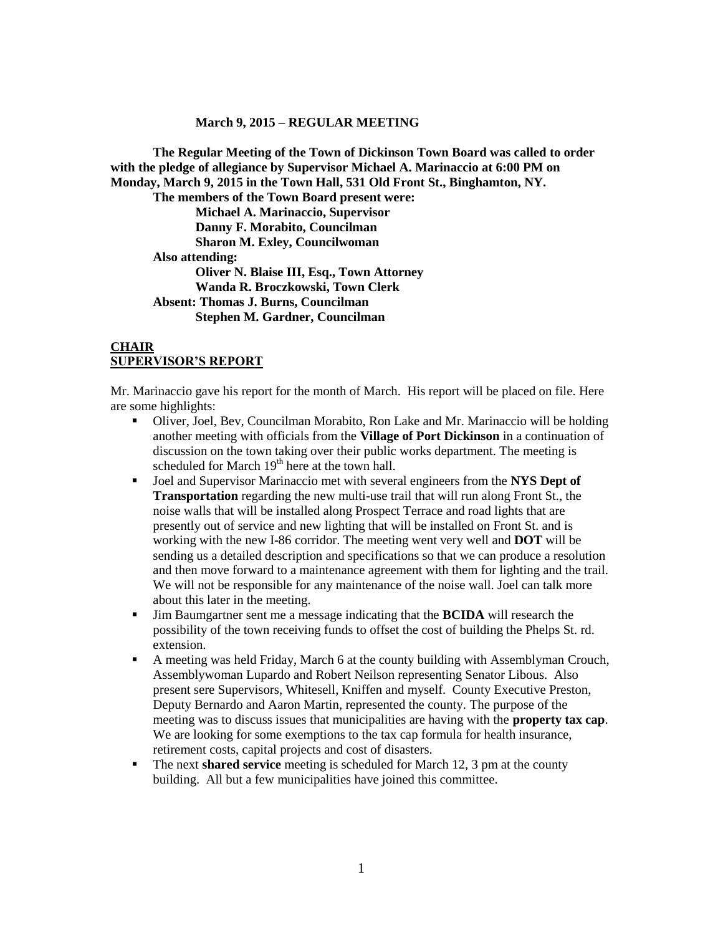#### **March 9, 2015 – REGULAR MEETING**

**The Regular Meeting of the Town of Dickinson Town Board was called to order with the pledge of allegiance by Supervisor Michael A. Marinaccio at 6:00 PM on Monday, March 9, 2015 in the Town Hall, 531 Old Front St., Binghamton, NY. The members of the Town Board present were: Michael A. Marinaccio, Supervisor Danny F. Morabito, Councilman Sharon M. Exley, Councilwoman Also attending: Oliver N. Blaise III, Esq., Town Attorney Wanda R. Broczkowski, Town Clerk Absent: Thomas J. Burns, Councilman Stephen M. Gardner, Councilman**

#### **CHAIR SUPERVISOR'S REPORT**

Mr. Marinaccio gave his report for the month of March. His report will be placed on file. Here are some highlights:

- Oliver, Joel, Bev, Councilman Morabito, Ron Lake and Mr. Marinaccio will be holding another meeting with officials from the **Village of Port Dickinson** in a continuation of discussion on the town taking over their public works department. The meeting is scheduled for March  $19<sup>th</sup>$  here at the town hall.
- Joel and Supervisor Marinaccio met with several engineers from the **NYS Dept of Transportation** regarding the new multi-use trail that will run along Front St., the noise walls that will be installed along Prospect Terrace and road lights that are presently out of service and new lighting that will be installed on Front St. and is working with the new I-86 corridor. The meeting went very well and **DOT** will be sending us a detailed description and specifications so that we can produce a resolution and then move forward to a maintenance agreement with them for lighting and the trail. We will not be responsible for any maintenance of the noise wall. Joel can talk more about this later in the meeting.
- Jim Baumgartner sent me a message indicating that the **BCIDA** will research the possibility of the town receiving funds to offset the cost of building the Phelps St. rd. extension.
- A meeting was held Friday, March 6 at the county building with Assemblyman Crouch, Assemblywoman Lupardo and Robert Neilson representing Senator Libous. Also present sere Supervisors, Whitesell, Kniffen and myself. County Executive Preston, Deputy Bernardo and Aaron Martin, represented the county. The purpose of the meeting was to discuss issues that municipalities are having with the **property tax cap**. We are looking for some exemptions to the tax cap formula for health insurance, retirement costs, capital projects and cost of disasters.
- The next **shared service** meeting is scheduled for March 12, 3 pm at the county building. All but a few municipalities have joined this committee.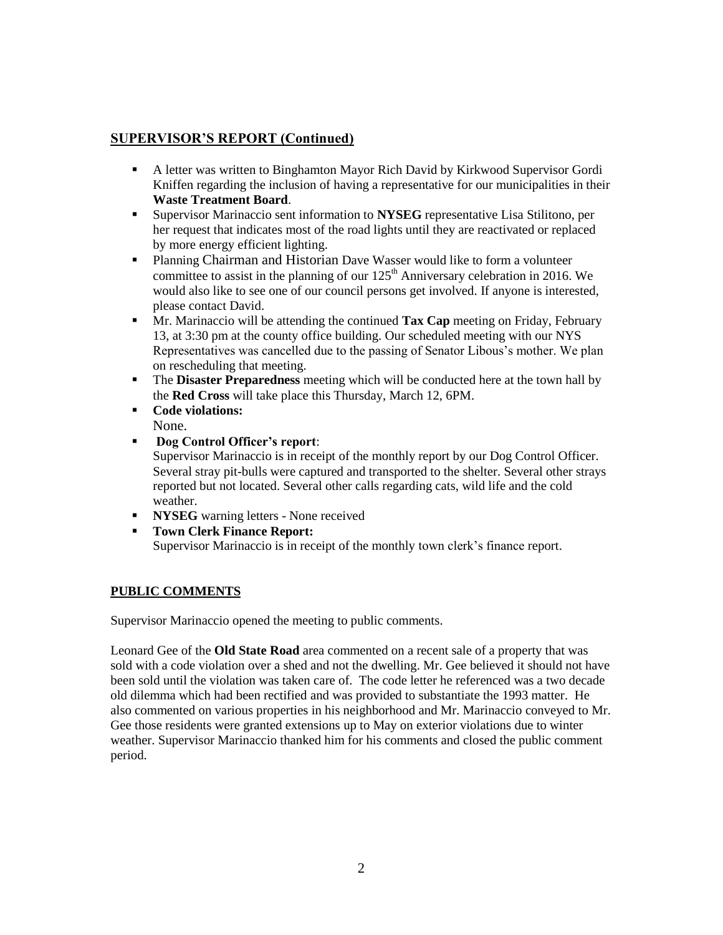# **SUPERVISOR'S REPORT (Continued)**

- A letter was written to Binghamton Mayor Rich David by Kirkwood Supervisor Gordi Kniffen regarding the inclusion of having a representative for our municipalities in their **Waste Treatment Board**.
- Supervisor Marinaccio sent information to **NYSEG** representative Lisa Stilitono, per her request that indicates most of the road lights until they are reactivated or replaced by more energy efficient lighting.
- Planning Chairman and Historian Dave Wasser would like to form a volunteer committee to assist in the planning of our  $125<sup>th</sup>$  Anniversary celebration in 2016. We would also like to see one of our council persons get involved. If anyone is interested, please contact David.
- Mr. Marinaccio will be attending the continued **Tax Cap** meeting on Friday, February 13, at 3:30 pm at the county office building. Our scheduled meeting with our NYS Representatives was cancelled due to the passing of Senator Libous's mother. We plan on rescheduling that meeting.
- The **Disaster Preparedness** meeting which will be conducted here at the town hall by the **Red Cross** will take place this Thursday, March 12, 6PM.
- **Code violations:** None.
- **Dog Control Officer's report**:

Supervisor Marinaccio is in receipt of the monthly report by our Dog Control Officer. Several stray pit-bulls were captured and transported to the shelter. Several other strays reported but not located. Several other calls regarding cats, wild life and the cold weather.

- **NYSEG** warning letters None received
- **Town Clerk Finance Report:**

Supervisor Marinaccio is in receipt of the monthly town clerk's finance report.

## **PUBLIC COMMENTS**

Supervisor Marinaccio opened the meeting to public comments.

Leonard Gee of the **Old State Road** area commented on a recent sale of a property that was sold with a code violation over a shed and not the dwelling. Mr. Gee believed it should not have been sold until the violation was taken care of. The code letter he referenced was a two decade old dilemma which had been rectified and was provided to substantiate the 1993 matter. He also commented on various properties in his neighborhood and Mr. Marinaccio conveyed to Mr. Gee those residents were granted extensions up to May on exterior violations due to winter weather. Supervisor Marinaccio thanked him for his comments and closed the public comment period.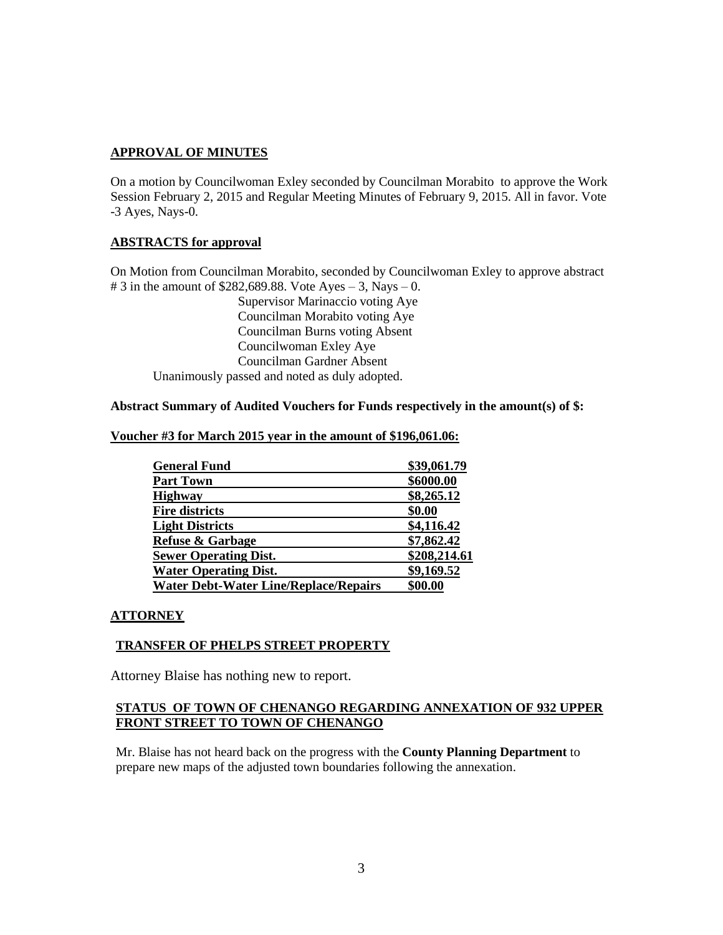## **APPROVAL OF MINUTES**

On a motion by Councilwoman Exley seconded by Councilman Morabito to approve the Work Session February 2, 2015 and Regular Meeting Minutes of February 9, 2015. All in favor. Vote -3 Ayes, Nays-0.

### **ABSTRACTS for approval**

On Motion from Councilman Morabito, seconded by Councilwoman Exley to approve abstract # 3 in the amount of  $$282,689.88$ . Vote Ayes – 3, Nays – 0.

Supervisor Marinaccio voting Aye Councilman Morabito voting Aye Councilman Burns voting Absent Councilwoman Exley Aye Councilman Gardner Absent Unanimously passed and noted as duly adopted.

### **Abstract Summary of Audited Vouchers for Funds respectively in the amount(s) of \$:**

| <b>General Fund</b>                          | \$39,061.79  |
|----------------------------------------------|--------------|
| <b>Part Town</b>                             | \$6000.00    |
| <b>Highway</b>                               | \$8,265.12   |
| <b>Fire districts</b>                        | \$0.00       |
| <b>Light Districts</b>                       | \$4,116.42   |
| <b>Refuse &amp; Garbage</b>                  | \$7,862.42   |
| <b>Sewer Operating Dist.</b>                 | \$208,214.61 |
| <b>Water Operating Dist.</b>                 | \$9,169.52   |
| <b>Water Debt-Water Line/Replace/Repairs</b> | \$00.00      |

## **Voucher #3 for March 2015 year in the amount of \$196,061.06:**

#### **ATTORNEY**

### **TRANSFER OF PHELPS STREET PROPERTY**

Attorney Blaise has nothing new to report.

### **STATUS OF TOWN OF CHENANGO REGARDING ANNEXATION OF 932 UPPER FRONT STREET TO TOWN OF CHENANGO**

Mr. Blaise has not heard back on the progress with the **County Planning Department** to prepare new maps of the adjusted town boundaries following the annexation.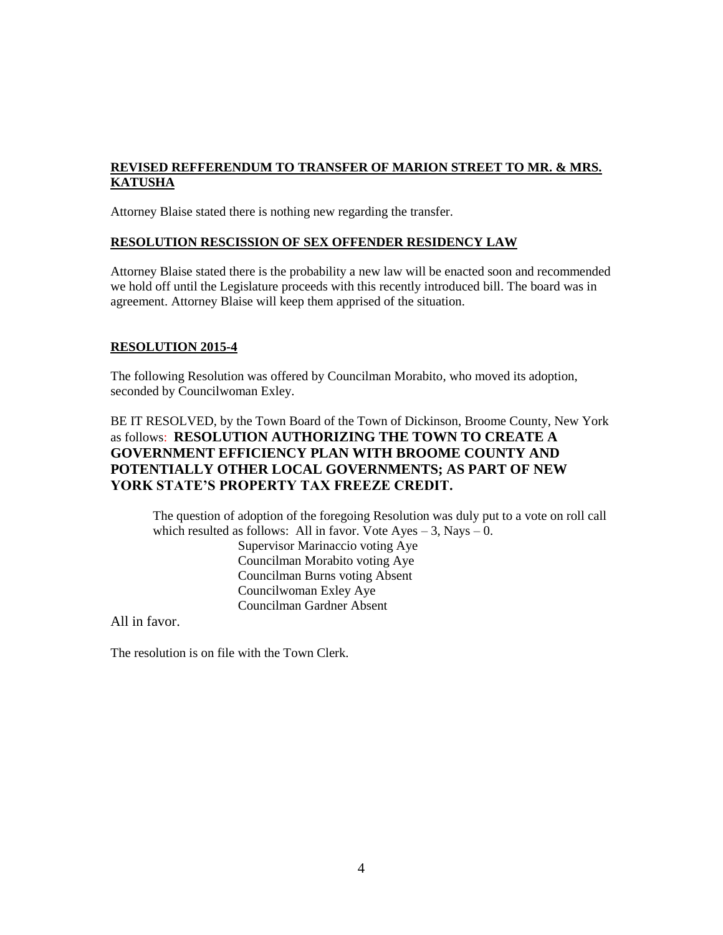## **REVISED REFFERENDUM TO TRANSFER OF MARION STREET TO MR. & MRS. KATUSHA**

Attorney Blaise stated there is nothing new regarding the transfer.

### **RESOLUTION RESCISSION OF SEX OFFENDER RESIDENCY LAW**

Attorney Blaise stated there is the probability a new law will be enacted soon and recommended we hold off until the Legislature proceeds with this recently introduced bill. The board was in agreement. Attorney Blaise will keep them apprised of the situation.

### **RESOLUTION 2015-4**

The following Resolution was offered by Councilman Morabito, who moved its adoption, seconded by Councilwoman Exley.

# BE IT RESOLVED, by the Town Board of the Town of Dickinson, Broome County, New York as follows: **RESOLUTION AUTHORIZING THE TOWN TO CREATE A GOVERNMENT EFFICIENCY PLAN WITH BROOME COUNTY AND POTENTIALLY OTHER LOCAL GOVERNMENTS; AS PART OF NEW YORK STATE'S PROPERTY TAX FREEZE CREDIT.**

The question of adoption of the foregoing Resolution was duly put to a vote on roll call which resulted as follows: All in favor. Vote  $Ayes - 3$ , Nays  $- 0$ . Supervisor Marinaccio voting Aye Councilman Morabito voting Aye Councilman Burns voting Absent Councilwoman Exley Aye Councilman Gardner Absent

All in favor.

The resolution is on file with the Town Clerk.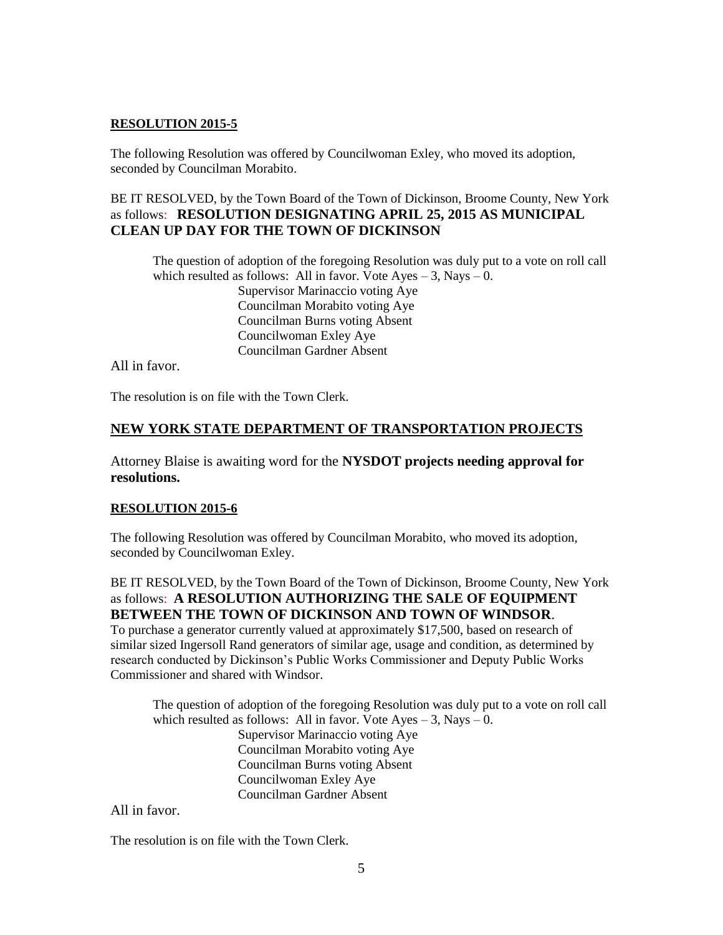## **RESOLUTION 2015-5**

The following Resolution was offered by Councilwoman Exley, who moved its adoption, seconded by Councilman Morabito.

BE IT RESOLVED, by the Town Board of the Town of Dickinson, Broome County, New York as follows: **RESOLUTION DESIGNATING APRIL 25, 2015 AS MUNICIPAL CLEAN UP DAY FOR THE TOWN OF DICKINSON**

The question of adoption of the foregoing Resolution was duly put to a vote on roll call which resulted as follows: All in favor. Vote  $Aves - 3$ , Nays  $- 0$ . Supervisor Marinaccio voting Aye Councilman Morabito voting Aye Councilman Burns voting Absent Councilwoman Exley Aye Councilman Gardner Absent

All in favor.

The resolution is on file with the Town Clerk.

## **NEW YORK STATE DEPARTMENT OF TRANSPORTATION PROJECTS**

Attorney Blaise is awaiting word for the **NYSDOT projects needing approval for resolutions.**

### **RESOLUTION 2015-6**

The following Resolution was offered by Councilman Morabito, who moved its adoption, seconded by Councilwoman Exley.

BE IT RESOLVED, by the Town Board of the Town of Dickinson, Broome County, New York as follows: **A RESOLUTION AUTHORIZING THE SALE OF EQUIPMENT BETWEEN THE TOWN OF DICKINSON AND TOWN OF WINDSOR**.

To purchase a generator currently valued at approximately \$17,500, based on research of similar sized Ingersoll Rand generators of similar age, usage and condition, as determined by research conducted by Dickinson's Public Works Commissioner and Deputy Public Works Commissioner and shared with Windsor.

The question of adoption of the foregoing Resolution was duly put to a vote on roll call which resulted as follows: All in favor. Vote  $Ayes - 3$ , Nays  $- 0$ . Supervisor Marinaccio voting Aye Councilman Morabito voting Aye Councilman Burns voting Absent Councilwoman Exley Aye Councilman Gardner Absent

All in favor.

The resolution is on file with the Town Clerk.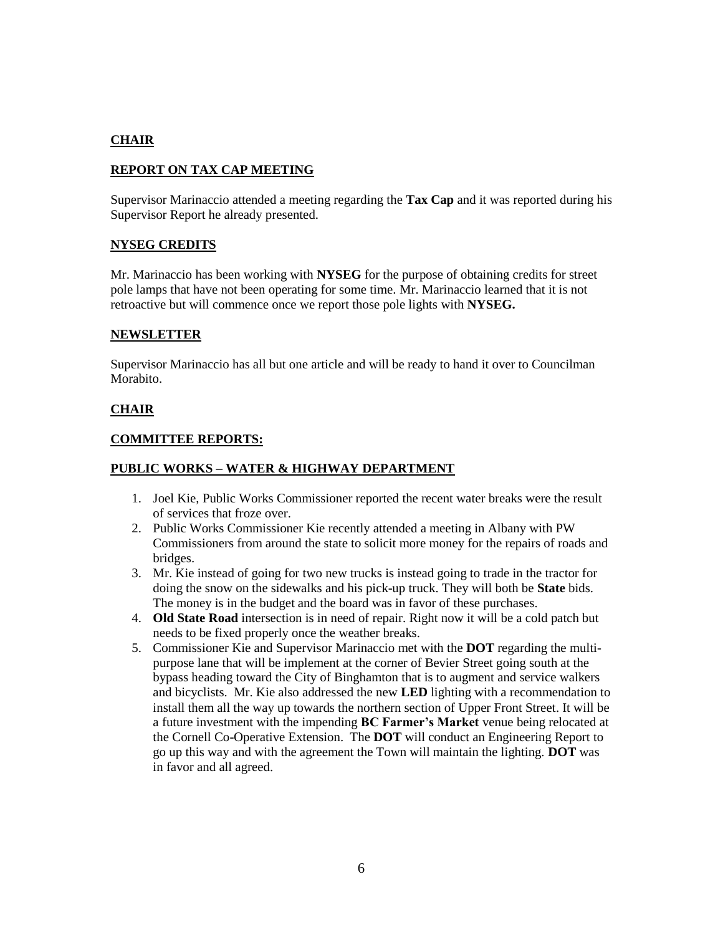# **CHAIR**

## **REPORT ON TAX CAP MEETING**

Supervisor Marinaccio attended a meeting regarding the **Tax Cap** and it was reported during his Supervisor Report he already presented.

## **NYSEG CREDITS**

Mr. Marinaccio has been working with **NYSEG** for the purpose of obtaining credits for street pole lamps that have not been operating for some time. Mr. Marinaccio learned that it is not retroactive but will commence once we report those pole lights with **NYSEG.**

## **NEWSLETTER**

Supervisor Marinaccio has all but one article and will be ready to hand it over to Councilman Morabito.

### **CHAIR**

#### **COMMITTEE REPORTS:**

### **PUBLIC WORKS – WATER & HIGHWAY DEPARTMENT**

- 1. Joel Kie, Public Works Commissioner reported the recent water breaks were the result of services that froze over.
- 2. Public Works Commissioner Kie recently attended a meeting in Albany with PW Commissioners from around the state to solicit more money for the repairs of roads and bridges.
- 3. Mr. Kie instead of going for two new trucks is instead going to trade in the tractor for doing the snow on the sidewalks and his pick-up truck. They will both be **State** bids. The money is in the budget and the board was in favor of these purchases.
- 4. **Old State Road** intersection is in need of repair. Right now it will be a cold patch but needs to be fixed properly once the weather breaks.
- 5. Commissioner Kie and Supervisor Marinaccio met with the **DOT** regarding the multipurpose lane that will be implement at the corner of Bevier Street going south at the bypass heading toward the City of Binghamton that is to augment and service walkers and bicyclists. Mr. Kie also addressed the new **LED** lighting with a recommendation to install them all the way up towards the northern section of Upper Front Street. It will be a future investment with the impending **BC Farmer's Market** venue being relocated at the Cornell Co-Operative Extension. The **DOT** will conduct an Engineering Report to go up this way and with the agreement the Town will maintain the lighting. **DOT** was in favor and all agreed.